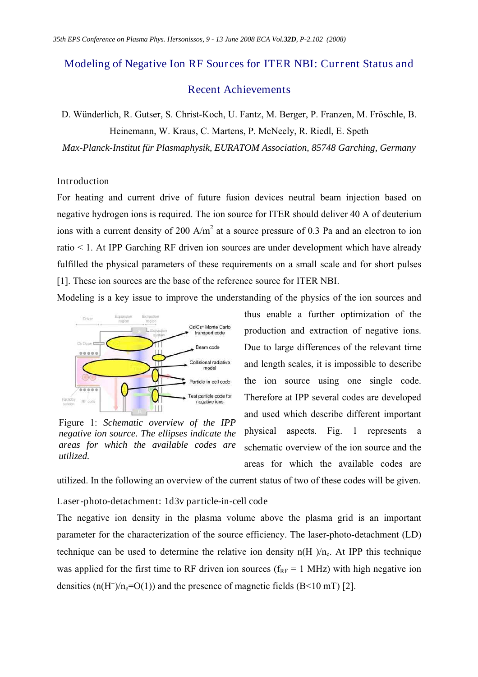# Modeling of Negative Ion RF Sources for ITER NBI: Current Status and

## Recent Achievements

D. Wünderlich, R. Gutser, S. Christ-Koch, U. Fantz, M. Berger, P. Franzen, M. Fröschle, B. Heinemann, W. Kraus, C. Martens, P. McNeely, R. Riedl, E. Speth

*Max-Planck-Institut für Plasmaphysik, EURATOM Association, 85748 Garching, Germany* 

### Introduction

For heating and current drive of future fusion devices neutral beam injection based on negative hydrogen ions is required. The ion source for ITER should deliver 40 A of deuterium ions with a current density of 200 A/m<sup>2</sup> at a source pressure of 0.3 Pa and an electron to ion ratio < 1. At IPP Garching RF driven ion sources are under development which have already fulfilled the physical parameters of these requirements on a small scale and for short pulses [1]. These ion sources are the base of the reference source for ITER NBI.

Modeling is a key issue to improve the understanding of the physics of the ion sources and



Figure 1: *Schematic overview of the IPP negative ion source. The ellipses indicate the areas for which the available codes are utilized.* 

thus enable a further optimization of the production and extraction of negative ions. Due to large differences of the relevant time and length scales, it is impossible to describe the ion source using one single code. Therefore at IPP several codes are developed and used which describe different important physical aspects. Fig. 1 represents a schematic overview of the ion source and the areas for which the available codes are

utilized. In the following an overview of the current status of two of these codes will be given.

Laser-photo-detachment: 1d3v particle-in-cell code

The negative ion density in the plasma volume above the plasma grid is an important parameter for the characterization of the source efficiency. The laser-photo-detachment (LD) technique can be used to determine the relative ion density  $n(H^-)/n_e$ . At IPP this technique was applied for the first time to RF driven ion sources ( $f_{RF}$  = 1 MHz) with high negative ion densities  $(n(H^-)/n_e=O(1))$  and the presence of magnetic fields (B<10 mT) [2].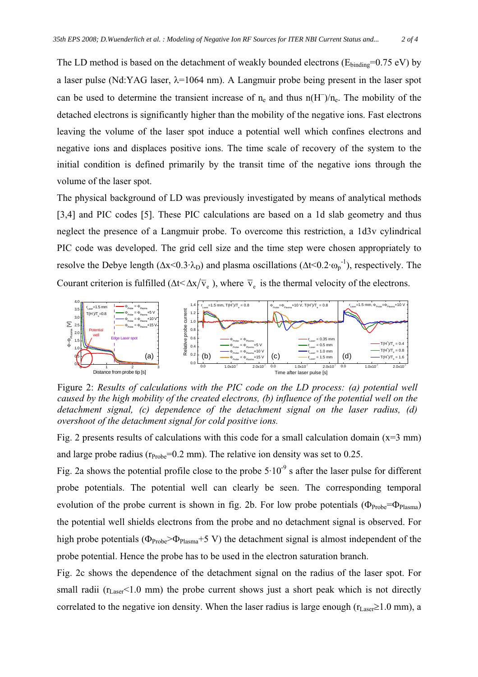The LD method is based on the detachment of weakly bounded electrons ( $E_{binding}$ =0.75 eV) by a laser pulse (Nd:YAG laser,  $\lambda$ =1064 nm). A Langmuir probe being present in the laser spot can be used to determine the transient increase of  $n_e$  and thus  $n(H^-)/n_e$ . The mobility of the detached electrons is significantly higher than the mobility of the negative ions. Fast electrons leaving the volume of the laser spot induce a potential well which confines electrons and negative ions and displaces positive ions. The time scale of recovery of the system to the initial condition is defined primarily by the transit time of the negative ions through the volume of the laser spot.

The physical background of LD was previously investigated by means of analytical methods [3,4] and PIC codes [5]. These PIC calculations are based on a 1d slab geometry and thus neglect the presence of a Langmuir probe. To overcome this restriction, a 1d3v cylindrical PIC code was developed. The grid cell size and the time step were chosen appropriately to resolve the Debye length ( $\Delta x \le 0.3 \cdot \lambda_D$ ) and plasma oscillations ( $\Delta t \le 0.2 \cdot \omega_p^{-1}$ ), respectively. The Courant criterion is fulfilled ( $\Delta t < \Delta x/\overline{v}_e$ ), where  $\overline{v}_e$  is the thermal velocity of the electrons.



Figure 2: *Results of calculations with the PIC code on the LD process: (a) potential well caused by the high mobility of the created electrons, (b) influence of the potential well on the detachment signal, (c) dependence of the detachment signal on the laser radius, (d) overshoot of the detachment signal for cold positive ions.* 

Fig. 2 presents results of calculations with this code for a small calculation domain ( $x=3$  mm) and large probe radius ( $r_{\text{probe}}$ =0.2 mm). The relative ion density was set to 0.25.

Fig. 2a shows the potential profile close to the probe  $5 \cdot 10^{-9}$  s after the laser pulse for different probe potentials. The potential well can clearly be seen. The corresponding temporal evolution of the probe current is shown in fig. 2b. For low probe potentials ( $\Phi_{\text{Probe}} = \Phi_{\text{Plasma}}$ ) the potential well shields electrons from the probe and no detachment signal is observed. For high probe potentials ( $\Phi_{\text{Probe}} > \Phi_{\text{Plasma}} + 5$  V) the detachment signal is almost independent of the probe potential. Hence the probe has to be used in the electron saturation branch.

Fig. 2c shows the dependence of the detachment signal on the radius of the laser spot. For small radii ( $r_{\text{Laser}}$ <1.0 mm) the probe current shows just a short peak which is not directly correlated to the negative ion density. When the laser radius is large enough ( $r_{Laser} \ge 1.0$  mm), a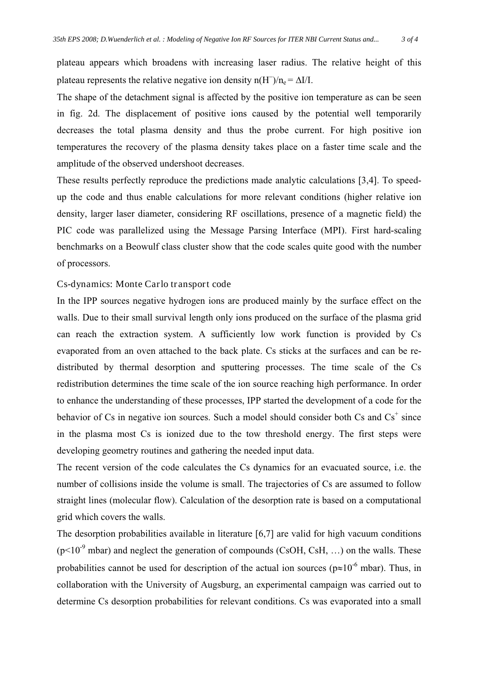plateau appears which broadens with increasing laser radius. The relative height of this plateau represents the relative negative ion density  $n(H^-)/n_e = \Delta I/I$ .

The shape of the detachment signal is affected by the positive ion temperature as can be seen in fig. 2d. The displacement of positive ions caused by the potential well temporarily decreases the total plasma density and thus the probe current. For high positive ion temperatures the recovery of the plasma density takes place on a faster time scale and the amplitude of the observed undershoot decreases.

These results perfectly reproduce the predictions made analytic calculations [3,4]. To speedup the code and thus enable calculations for more relevant conditions (higher relative ion density, larger laser diameter, considering RF oscillations, presence of a magnetic field) the PIC code was parallelized using the Message Parsing Interface (MPI). First hard-scaling benchmarks on a Beowulf class cluster show that the code scales quite good with the number of processors.

### Cs-dynamics: Monte Carlo transport code

In the IPP sources negative hydrogen ions are produced mainly by the surface effect on the walls. Due to their small survival length only ions produced on the surface of the plasma grid can reach the extraction system. A sufficiently low work function is provided by Cs evaporated from an oven attached to the back plate. Cs sticks at the surfaces and can be redistributed by thermal desorption and sputtering processes. The time scale of the Cs redistribution determines the time scale of the ion source reaching high performance. In order to enhance the understanding of these processes, IPP started the development of a code for the behavior of Cs in negative ion sources. Such a model should consider both Cs and  $Cs<sup>+</sup>$  since in the plasma most Cs is ionized due to the tow threshold energy. The first steps were developing geometry routines and gathering the needed input data.

The recent version of the code calculates the Cs dynamics for an evacuated source, i.e. the number of collisions inside the volume is small. The trajectories of Cs are assumed to follow straight lines (molecular flow). Calculation of the desorption rate is based on a computational grid which covers the walls.

The desorption probabilities available in literature [6,7] are valid for high vacuum conditions  $(p<10<sup>-9</sup>$  mbar) and neglect the generation of compounds (CsOH, CsH, ...) on the walls. These probabilities cannot be used for description of the actual ion sources ( $p \approx 10^{-6}$  mbar). Thus, in collaboration with the University of Augsburg, an experimental campaign was carried out to determine Cs desorption probabilities for relevant conditions. Cs was evaporated into a small